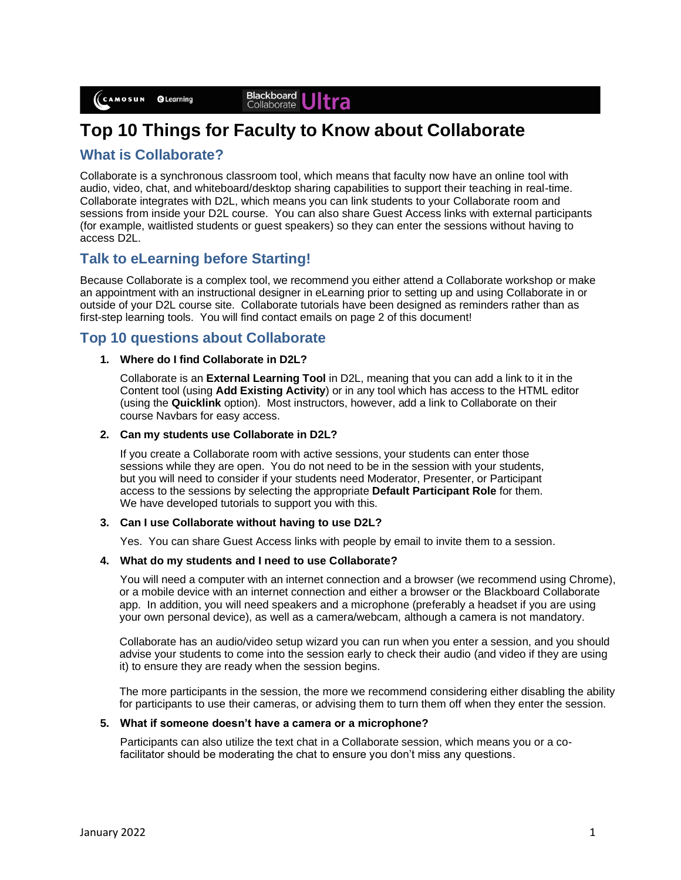#### Blackboard<br>Collaborate Itra

# **Top 10 Things for Faculty to Know about Collaborate**

### **What is Collaborate?**

Collaborate is a synchronous classroom tool, which means that faculty now have an online tool with audio, video, chat, and whiteboard/desktop sharing capabilities to support their teaching in real-time. Collaborate integrates with D2L, which means you can link students to your Collaborate room and sessions from inside your D2L course. You can also share Guest Access links with external participants (for example, waitlisted students or guest speakers) so they can enter the sessions without having to access D2L.

### **Talk to eLearning before Starting!**

Because Collaborate is a complex tool, we recommend you either attend a Collaborate workshop or make an appointment with an instructional designer in eLearning prior to setting up and using Collaborate in or outside of your D2L course site. Collaborate tutorials have been designed as reminders rather than as first-step learning tools. You will find contact emails on page 2 of this document!

### **Top 10 questions about Collaborate**

#### **1. Where do I find Collaborate in D2L?**

Collaborate is an **External Learning Tool** in D2L, meaning that you can add a link to it in the Content tool (using **Add Existing Activity**) or in any tool which has access to the HTML editor (using the **Quicklink** option). Most instructors, however, add a link to Collaborate on their course Navbars for easy access.

#### **2. Can my students use Collaborate in D2L?**

If you create a Collaborate room with active sessions, your students can enter those sessions while they are open. You do not need to be in the session with your students, but you will need to consider if your students need Moderator, Presenter, or Participant access to the sessions by selecting the appropriate **Default Participant Role** for them. We have developed tutorials to support you with this.

### **3. Can I use Collaborate without having to use D2L?**

Yes. You can share Guest Access links with people by email to invite them to a session.

#### **4. What do my students and I need to use Collaborate?**

You will need a computer with an internet connection and a browser (we recommend using Chrome), or a mobile device with an internet connection and either a browser or the Blackboard Collaborate app. In addition, you will need speakers and a microphone (preferably a headset if you are using your own personal device), as well as a camera/webcam, although a camera is not mandatory.

Collaborate has an audio/video setup wizard you can run when you enter a session, and you should advise your students to come into the session early to check their audio (and video if they are using it) to ensure they are ready when the session begins.

The more participants in the session, the more we recommend considering either disabling the ability for participants to use their cameras, or advising them to turn them off when they enter the session.

#### **5. What if someone doesn't have a camera or a microphone?**

Participants can also utilize the text chat in a Collaborate session, which means you or a cofacilitator should be moderating the chat to ensure you don't miss any questions.